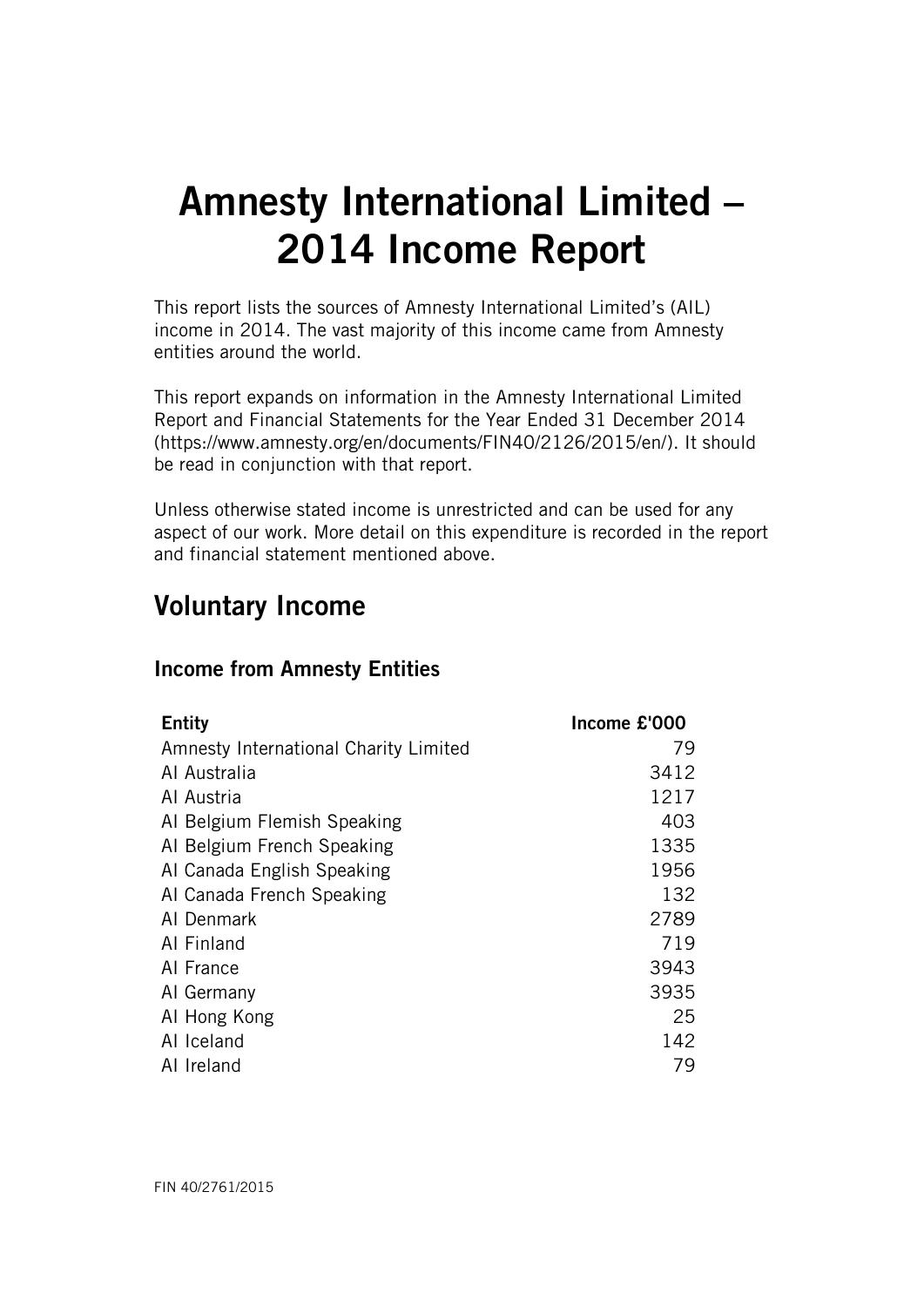# Amnesty International Limited – 2014 Income Report

This report lists the sources of Amnesty International Limited's (AIL) income in 2014. The vast majority of this income came from Amnesty entities around the world.

This report expands on information in the Amnesty International Limited Report and Financial Statements for the Year Ended 31 December 2014 (https://www.amnesty.org/en/documents/FIN40/2126/2015/en/). It should be read in conjunction with that report.

Unless otherwise stated income is unrestricted and can be used for any aspect of our work. More detail on this expenditure is recorded in the report and financial statement mentioned above.

### Voluntary Income

### Income from Amnesty Entities

| <b>Entity</b>                         | Income £'000 |
|---------------------------------------|--------------|
| Amnesty International Charity Limited | 79           |
| Al Australia                          | 3412         |
| Al Austria                            | 1217         |
| Al Belgium Flemish Speaking           | 403          |
| Al Belgium French Speaking            | 1335         |
| AI Canada English Speaking            | 1956         |
| AI Canada French Speaking             | 132          |
| AI Denmark                            | 2789         |
| Al Finland                            | 719          |
| AI France                             | 3943         |
| Al Germany                            | 3935         |
| AI Hong Kong                          | 25           |
| AI Iceland                            | 142          |
| AI Ireland                            | 79           |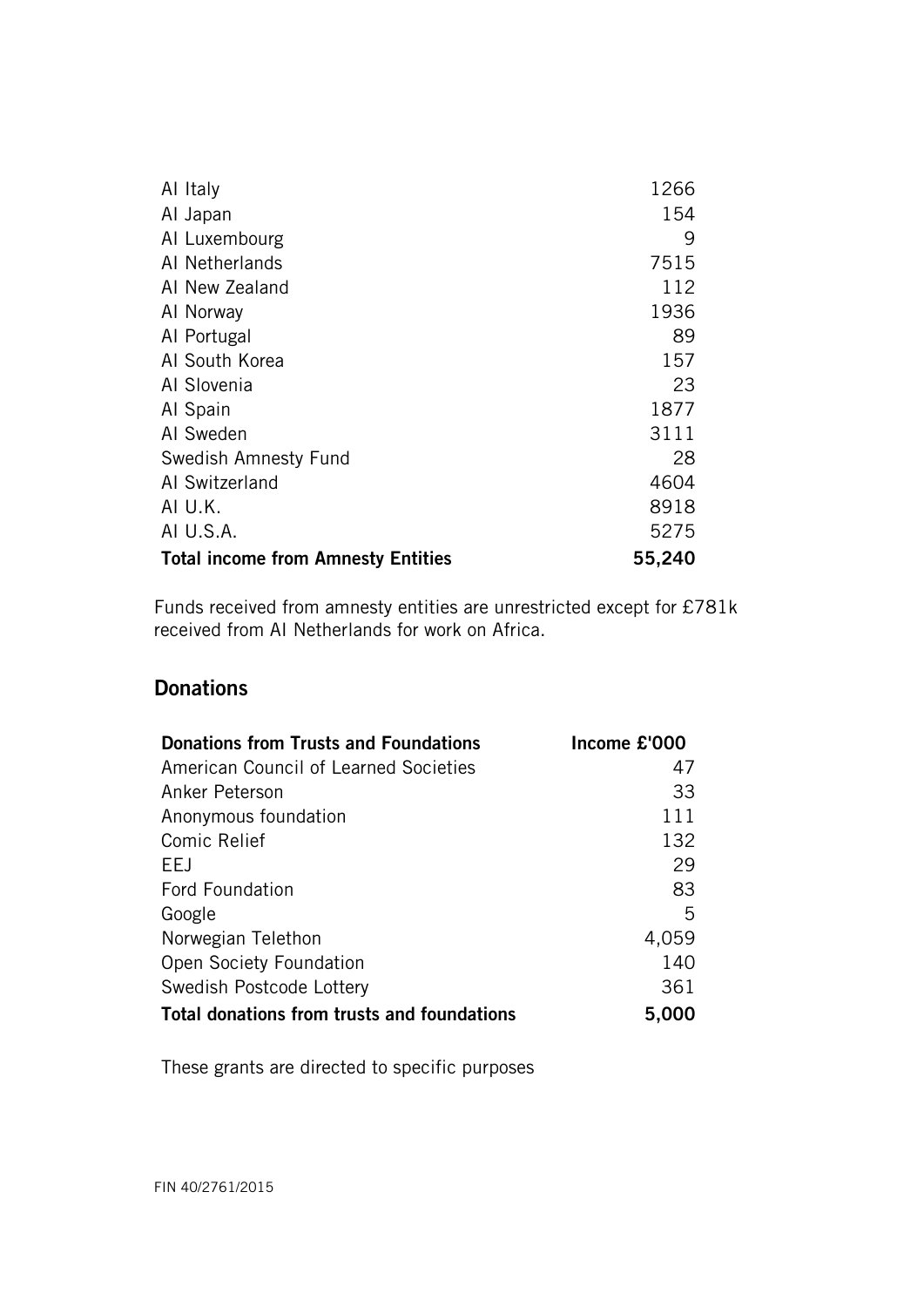| Al Italy                                  | 1266   |
|-------------------------------------------|--------|
| Al Japan                                  | 154    |
| AI Luxembourg                             | 9      |
| AI Netherlands                            | 7515   |
| AI New Zealand                            | 112    |
| Al Norway                                 | 1936   |
| Al Portugal                               | 89     |
| Al South Korea                            | 157    |
| Al Slovenia                               | 23     |
| Al Spain                                  | 1877   |
| AI Sweden                                 | 3111   |
| Swedish Amnesty Fund                      | 28     |
| AI Switzerland                            | 4604   |
| AI U.K.                                   | 8918   |
| AI U.S.A.                                 | 5275   |
| <b>Total income from Amnesty Entities</b> | 55,240 |

Funds received from amnesty entities are unrestricted except for £781k received from AI Netherlands for work on Africa.

### **Donations**

| <b>Donations from Trusts and Foundations</b> | Income £'000 |
|----------------------------------------------|--------------|
| American Council of Learned Societies        | 47           |
| Anker Peterson                               | 33           |
| Anonymous foundation                         | 111          |
| Comic Relief                                 | 132          |
| EEJ                                          | 29           |
| <b>Ford Foundation</b>                       | 83           |
| Google                                       | 5            |
| Norwegian Telethon                           | 4,059        |
| Open Society Foundation                      | 140          |
| Swedish Postcode Lottery                     | 361          |
| Total donations from trusts and foundations  | 5,000        |

These grants are directed to specific purposes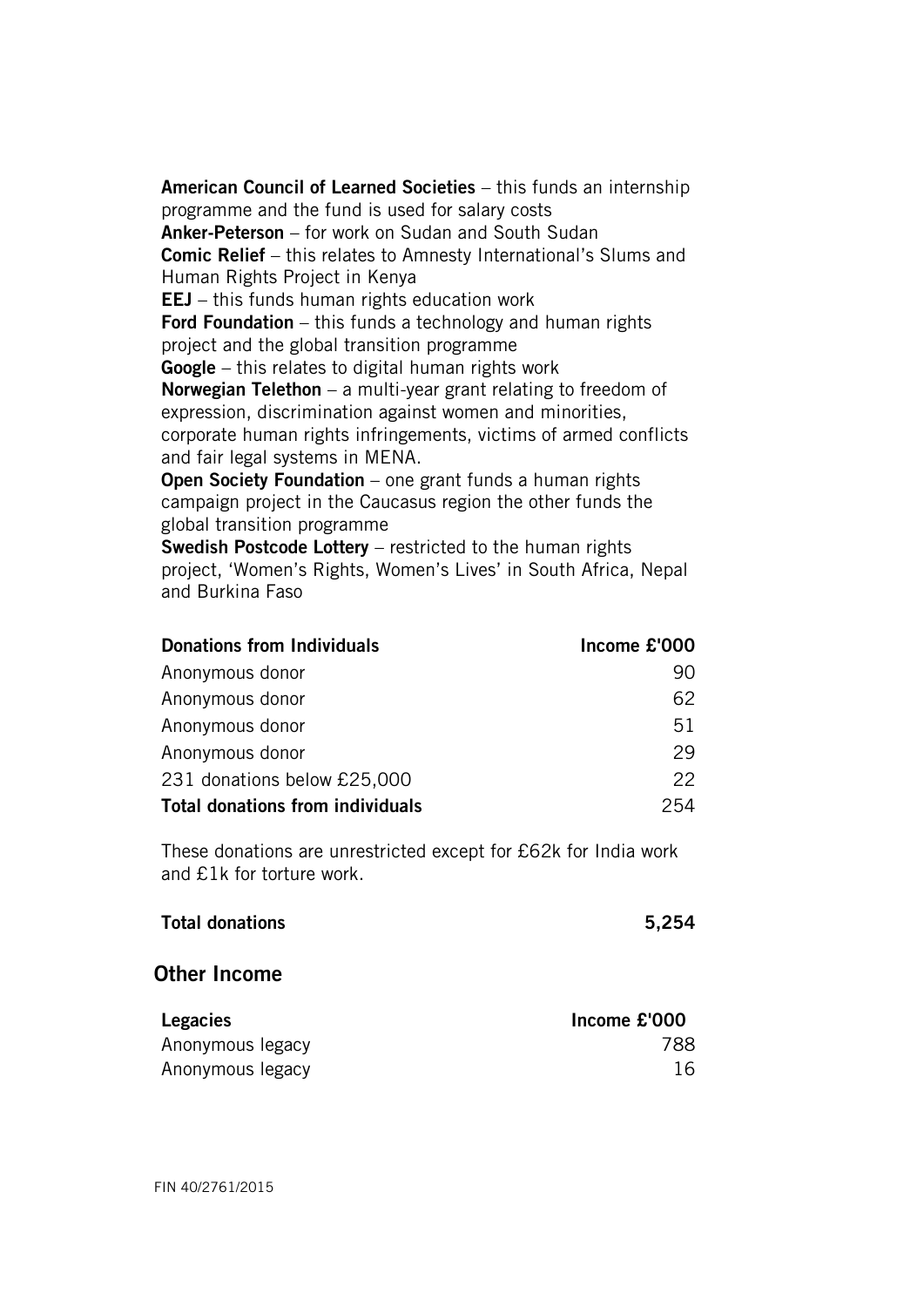American Council of Learned Societies – this funds an internship programme and the fund is used for salary costs Anker-Peterson – for work on Sudan and South Sudan Comic Relief – this relates to Amnesty International's Slums and Human Rights Project in Kenya EEJ – this funds human rights education work Ford Foundation – this funds a technology and human rights project and the global transition programme Google – this relates to digital human rights work **Norwegian Telethon** – a multi-year grant relating to freedom of expression, discrimination against women and minorities, corporate human rights infringements, victims of armed conflicts and fair legal systems in MENA. Open Society Foundation – one grant funds a human rights campaign project in the Caucasus region the other funds the global transition programme Swedish Postcode Lottery – restricted to the human rights

project, 'Women's Rights, Women's Lives' in South Africa, Nepal and Burkina Faso

| <b>Donations from Individuals</b> | Income £'000 |
|-----------------------------------|--------------|
| Anonymous donor                   | 90           |
| Anonymous donor                   | 62           |
| Anonymous donor                   | 51           |
| Anonymous donor                   | 29           |
| 231 donations below £25,000       | 22           |
| Total donations from individuals  | 254          |

These donations are unrestricted except for £62k for India work and £1k for torture work.

| <b>Total donations</b> | 5,254 |
|------------------------|-------|
|                        |       |

#### Other Income

| <b>Legacies</b>  | Income £'000 |
|------------------|--------------|
| Anonymous legacy | 788          |
| Anonymous legacy | 16           |